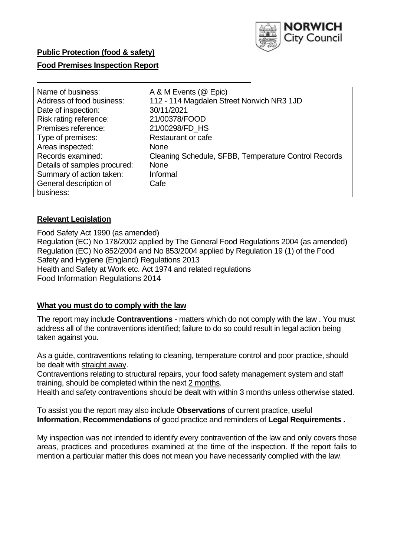

# **Public Protection (food & safety)**

### **Food Premises Inspection Report**

| Name of business:            | A & M Events (@ Epic)                                |
|------------------------------|------------------------------------------------------|
| Address of food business:    | 112 - 114 Magdalen Street Norwich NR3 1JD            |
| Date of inspection:          | 30/11/2021                                           |
| Risk rating reference:       | 21/00378/FOOD                                        |
| Premises reference:          | 21/00298/FD HS                                       |
| Type of premises:            | Restaurant or cafe                                   |
| Areas inspected:             | <b>None</b>                                          |
| Records examined:            | Cleaning Schedule, SFBB, Temperature Control Records |
| Details of samples procured: | <b>None</b>                                          |
| Summary of action taken:     | Informal                                             |
| General description of       | Cafe                                                 |
| business:                    |                                                      |

#### **Relevant Legislation**

 Food Safety Act 1990 (as amended) Regulation (EC) No 178/2002 applied by The General Food Regulations 2004 (as amended) Regulation (EC) No 852/2004 and No 853/2004 applied by Regulation 19 (1) of the Food Safety and Hygiene (England) Regulations 2013 Health and Safety at Work etc. Act 1974 and related regulations Food Information Regulations 2014

#### **What you must do to comply with the law**

 The report may include **Contraventions** - matters which do not comply with the law . You must address all of the contraventions identified; failure to do so could result in legal action being taken against you.

 As a guide, contraventions relating to cleaning, temperature control and poor practice, should be dealt with straight away.

 Contraventions relating to structural repairs, your food safety management system and staff training, should be completed within the next 2 months.

Health and safety contraventions should be dealt with within 3 months unless otherwise stated.

 To assist you the report may also include **Observations** of current practice, useful **Information**, **Recommendations** of good practice and reminders of **Legal Requirements .** 

 My inspection was not intended to identify every contravention of the law and only covers those areas, practices and procedures examined at the time of the inspection. If the report fails to mention a particular matter this does not mean you have necessarily complied with the law.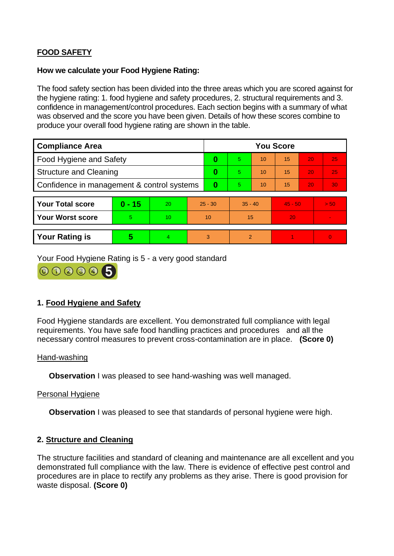# **FOOD SAFETY**

### **How we calculate your Food Hygiene Rating:**

 The food safety section has been divided into the three areas which you are scored against for the hygiene rating: 1. food hygiene and safety procedures, 2. structural requirements and 3. confidence in management/control procedures. Each section begins with a summary of what was observed and the score you have been given. Details of how these scores combine to produce your overall food hygiene rating are shown in the table.

| <b>Compliance Area</b>                     |          |    |           | <b>You Score</b> |           |    |           |    |                |  |  |
|--------------------------------------------|----------|----|-----------|------------------|-----------|----|-----------|----|----------------|--|--|
| <b>Food Hygiene and Safety</b>             |          |    |           | 0                | 5.        | 10 | 15        | 20 | 25             |  |  |
| <b>Structure and Cleaning</b>              |          |    | 0         | 5                | 10        | 15 | 20        | 25 |                |  |  |
| Confidence in management & control systems |          |    | $\bf{0}$  | 5                | 10        | 15 | 20        | 30 |                |  |  |
|                                            |          |    |           |                  |           |    |           |    |                |  |  |
| <b>Your Total score</b>                    | $0 - 15$ | 20 | $25 - 30$ |                  | $35 - 40$ |    | $45 - 50$ |    | > 50           |  |  |
| Your Worst score                           | 5.       | 10 | 10        |                  | 15        |    | 20        |    | $\blacksquare$ |  |  |
|                                            |          |    |           |                  |           |    |           |    |                |  |  |
| <b>Your Rating is</b>                      | 5        | 4. | 3         |                  | 2         |    |           |    | $\overline{0}$ |  |  |

Your Food Hygiene Rating is 5 - a very good standard



# **1. Food Hygiene and Safety**

 requirements. You have safe food handling practices and procedures and all the Food Hygiene standards are excellent. You demonstrated full compliance with legal necessary control measures to prevent cross-contamination are in place. **(Score 0)** 

# Hand-washing

**Observation** I was pleased to see hand-washing was well managed.

# Personal Hygiene

**Observation** I was pleased to see that standards of personal hygiene were high.

# **2. Structure and Cleaning**

 procedures are in place to rectify any problems as they arise. There is good provision for The structure facilities and standard of cleaning and maintenance are all excellent and you demonstrated full compliance with the law. There is evidence of effective pest control and waste disposal. **(Score 0)**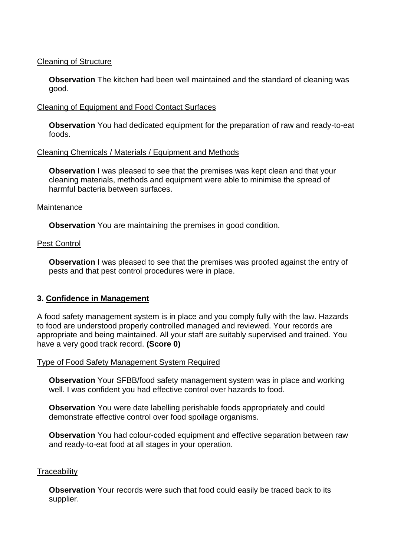# Cleaning of Structure

 **Observation** The kitchen had been well maintained and the standard of cleaning was good.

# Cleaning of Equipment and Food Contact Surfaces

**Observation** You had dedicated equipment for the preparation of raw and ready-to-eat foods.

# Cleaning Chemicals / Materials / Equipment and Methods

**Observation** I was pleased to see that the premises was kept clean and that your cleaning materials, methods and equipment were able to minimise the spread of harmful bacteria between surfaces.

#### **Maintenance**

**Observation** You are maintaining the premises in good condition.

#### Pest Control

**Observation** I was pleased to see that the premises was proofed against the entry of pests and that pest control procedures were in place.

# **3. Confidence in Management**

A food safety management system is in place and you comply fully with the law. Hazards to food are understood properly controlled managed and reviewed. Your records are appropriate and being maintained. All your staff are suitably supervised and trained. You have a very good track record. **(Score 0)** 

#### Type of Food Safety Management System Required

**Observation** Your SFBB/food safety management system was in place and working well. I was confident you had effective control over hazards to food.

 demonstrate effective control over food spoilage organisms. **Observation** You were date labelling perishable foods appropriately and could

**Observation** You had colour-coded equipment and effective separation between raw and ready-to-eat food at all stages in your operation.

#### **Traceability**

**Observation** Your records were such that food could easily be traced back to its supplier.